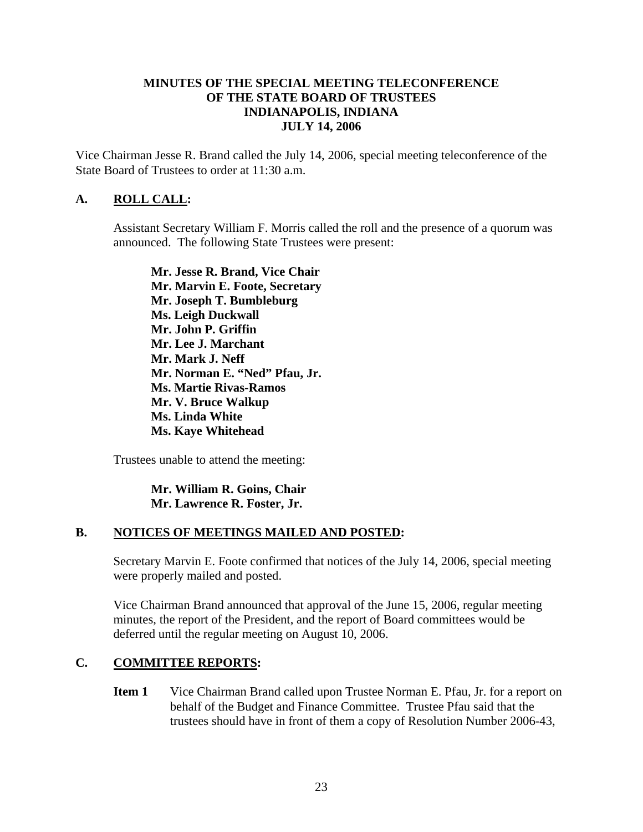### **MINUTES OF THE SPECIAL MEETING TELECONFERENCE OF THE STATE BOARD OF TRUSTEES INDIANAPOLIS, INDIANA JULY 14, 2006**

Vice Chairman Jesse R. Brand called the July 14, 2006, special meeting teleconference of the State Board of Trustees to order at 11:30 a.m.

### **A. ROLL CALL:**

Assistant Secretary William F. Morris called the roll and the presence of a quorum was announced. The following State Trustees were present:

**Mr. Jesse R. Brand, Vice Chair Mr. Marvin E. Foote, Secretary Mr. Joseph T. Bumbleburg Ms. Leigh Duckwall Mr. John P. Griffin Mr. Lee J. Marchant Mr. Mark J. Neff Mr. Norman E. "Ned" Pfau, Jr. Ms. Martie Rivas-Ramos Mr. V. Bruce Walkup Ms. Linda White Ms. Kaye Whitehead** 

Trustees unable to attend the meeting:

**Mr. William R. Goins, Chair Mr. Lawrence R. Foster, Jr.** 

#### **B. NOTICES OF MEETINGS MAILED AND POSTED:**

Secretary Marvin E. Foote confirmed that notices of the July 14, 2006, special meeting were properly mailed and posted.

Vice Chairman Brand announced that approval of the June 15, 2006, regular meeting minutes, the report of the President, and the report of Board committees would be deferred until the regular meeting on August 10, 2006.

#### **C. COMMITTEE REPORTS:**

**Item 1** Vice Chairman Brand called upon Trustee Norman E. Pfau, Jr. for a report on behalf of the Budget and Finance Committee. Trustee Pfau said that the trustees should have in front of them a copy of Resolution Number 2006-43,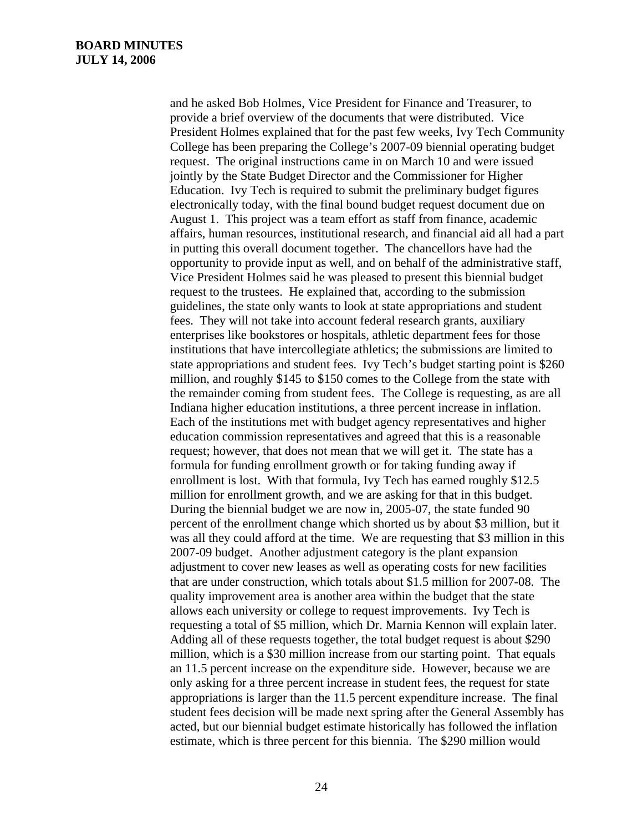and he asked Bob Holmes, Vice President for Finance and Treasurer, to provide a brief overview of the documents that were distributed. Vice President Holmes explained that for the past few weeks, Ivy Tech Community College has been preparing the College's 2007-09 biennial operating budget request. The original instructions came in on March 10 and were issued jointly by the State Budget Director and the Commissioner for Higher Education. Ivy Tech is required to submit the preliminary budget figures electronically today, with the final bound budget request document due on August 1. This project was a team effort as staff from finance, academic affairs, human resources, institutional research, and financial aid all had a part in putting this overall document together. The chancellors have had the opportunity to provide input as well, and on behalf of the administrative staff, Vice President Holmes said he was pleased to present this biennial budget request to the trustees. He explained that, according to the submission guidelines, the state only wants to look at state appropriations and student fees. They will not take into account federal research grants, auxiliary enterprises like bookstores or hospitals, athletic department fees for those institutions that have intercollegiate athletics; the submissions are limited to state appropriations and student fees. Ivy Tech's budget starting point is \$260 million, and roughly \$145 to \$150 comes to the College from the state with the remainder coming from student fees. The College is requesting, as are all Indiana higher education institutions, a three percent increase in inflation. Each of the institutions met with budget agency representatives and higher education commission representatives and agreed that this is a reasonable request; however, that does not mean that we will get it. The state has a formula for funding enrollment growth or for taking funding away if enrollment is lost. With that formula, Ivy Tech has earned roughly \$12.5 million for enrollment growth, and we are asking for that in this budget. During the biennial budget we are now in, 2005-07, the state funded 90 percent of the enrollment change which shorted us by about \$3 million, but it was all they could afford at the time. We are requesting that \$3 million in this 2007-09 budget. Another adjustment category is the plant expansion adjustment to cover new leases as well as operating costs for new facilities that are under construction, which totals about \$1.5 million for 2007-08. The quality improvement area is another area within the budget that the state allows each university or college to request improvements. Ivy Tech is requesting a total of \$5 million, which Dr. Marnia Kennon will explain later. Adding all of these requests together, the total budget request is about \$290 million, which is a \$30 million increase from our starting point. That equals an 11.5 percent increase on the expenditure side. However, because we are only asking for a three percent increase in student fees, the request for state appropriations is larger than the 11.5 percent expenditure increase. The final student fees decision will be made next spring after the General Assembly has acted, but our biennial budget estimate historically has followed the inflation estimate, which is three percent for this biennia. The \$290 million would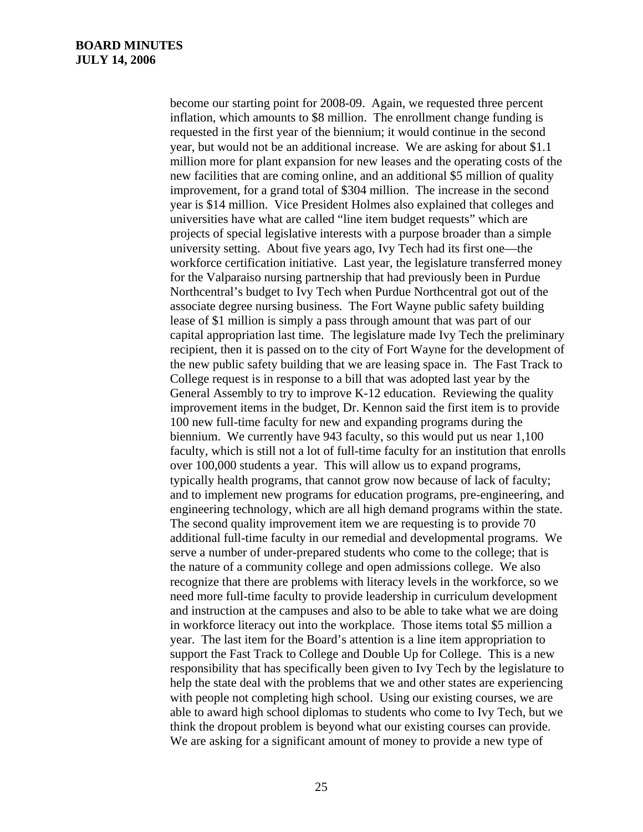become our starting point for 2008-09. Again, we requested three percent inflation, which amounts to \$8 million. The enrollment change funding is requested in the first year of the biennium; it would continue in the second year, but would not be an additional increase. We are asking for about \$1.1 million more for plant expansion for new leases and the operating costs of the new facilities that are coming online, and an additional \$5 million of quality improvement, for a grand total of \$304 million. The increase in the second year is \$14 million. Vice President Holmes also explained that colleges and universities have what are called "line item budget requests" which are projects of special legislative interests with a purpose broader than a simple university setting. About five years ago, Ivy Tech had its first one—the workforce certification initiative. Last year, the legislature transferred money for the Valparaiso nursing partnership that had previously been in Purdue Northcentral's budget to Ivy Tech when Purdue Northcentral got out of the associate degree nursing business. The Fort Wayne public safety building lease of \$1 million is simply a pass through amount that was part of our capital appropriation last time. The legislature made Ivy Tech the preliminary recipient, then it is passed on to the city of Fort Wayne for the development of the new public safety building that we are leasing space in. The Fast Track to College request is in response to a bill that was adopted last year by the General Assembly to try to improve K-12 education. Reviewing the quality improvement items in the budget, Dr. Kennon said the first item is to provide 100 new full-time faculty for new and expanding programs during the biennium. We currently have 943 faculty, so this would put us near 1,100 faculty, which is still not a lot of full-time faculty for an institution that enrolls over 100,000 students a year. This will allow us to expand programs, typically health programs, that cannot grow now because of lack of faculty; and to implement new programs for education programs, pre-engineering, and engineering technology, which are all high demand programs within the state. The second quality improvement item we are requesting is to provide 70 additional full-time faculty in our remedial and developmental programs. We serve a number of under-prepared students who come to the college; that is the nature of a community college and open admissions college. We also recognize that there are problems with literacy levels in the workforce, so we need more full-time faculty to provide leadership in curriculum development and instruction at the campuses and also to be able to take what we are doing in workforce literacy out into the workplace. Those items total \$5 million a year. The last item for the Board's attention is a line item appropriation to support the Fast Track to College and Double Up for College. This is a new responsibility that has specifically been given to Ivy Tech by the legislature to help the state deal with the problems that we and other states are experiencing with people not completing high school. Using our existing courses, we are able to award high school diplomas to students who come to Ivy Tech, but we think the dropout problem is beyond what our existing courses can provide. We are asking for a significant amount of money to provide a new type of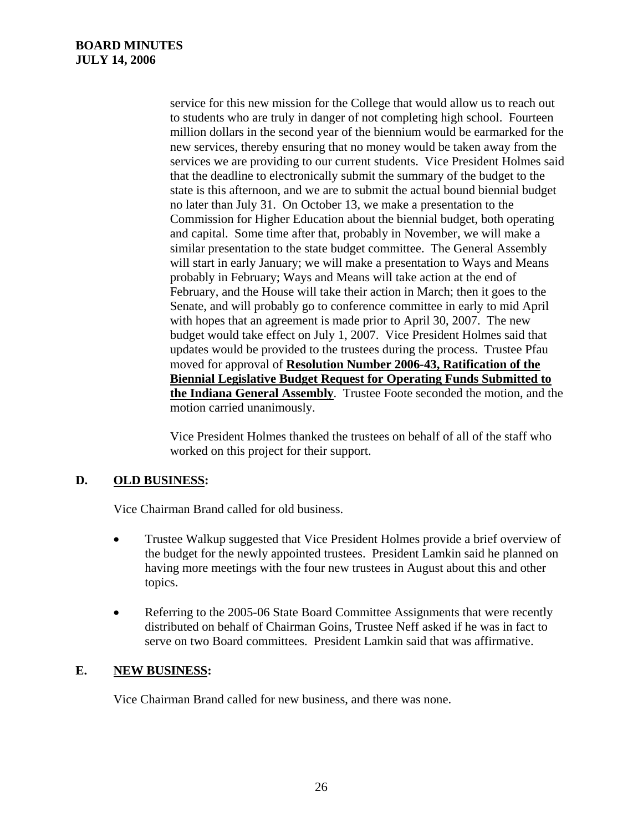service for this new mission for the College that would allow us to reach out to students who are truly in danger of not completing high school. Fourteen million dollars in the second year of the biennium would be earmarked for the new services, thereby ensuring that no money would be taken away from the services we are providing to our current students. Vice President Holmes said that the deadline to electronically submit the summary of the budget to the state is this afternoon, and we are to submit the actual bound biennial budget no later than July 31. On October 13, we make a presentation to the Commission for Higher Education about the biennial budget, both operating and capital. Some time after that, probably in November, we will make a similar presentation to the state budget committee. The General Assembly will start in early January; we will make a presentation to Ways and Means probably in February; Ways and Means will take action at the end of February, and the House will take their action in March; then it goes to the Senate, and will probably go to conference committee in early to mid April with hopes that an agreement is made prior to April 30, 2007. The new budget would take effect on July 1, 2007. Vice President Holmes said that updates would be provided to the trustees during the process. Trustee Pfau moved for approval of **Resolution Number 2006-43, Ratification of the Biennial Legislative Budget Request for Operating Funds Submitted to the Indiana General Assembly**. Trustee Foote seconded the motion, and the motion carried unanimously.

Vice President Holmes thanked the trustees on behalf of all of the staff who worked on this project for their support.

## **D. OLD BUSINESS:**

Vice Chairman Brand called for old business.

- Trustee Walkup suggested that Vice President Holmes provide a brief overview of the budget for the newly appointed trustees. President Lamkin said he planned on having more meetings with the four new trustees in August about this and other topics.
- Referring to the 2005-06 State Board Committee Assignments that were recently distributed on behalf of Chairman Goins, Trustee Neff asked if he was in fact to serve on two Board committees. President Lamkin said that was affirmative.

### **E. NEW BUSINESS:**

Vice Chairman Brand called for new business, and there was none.